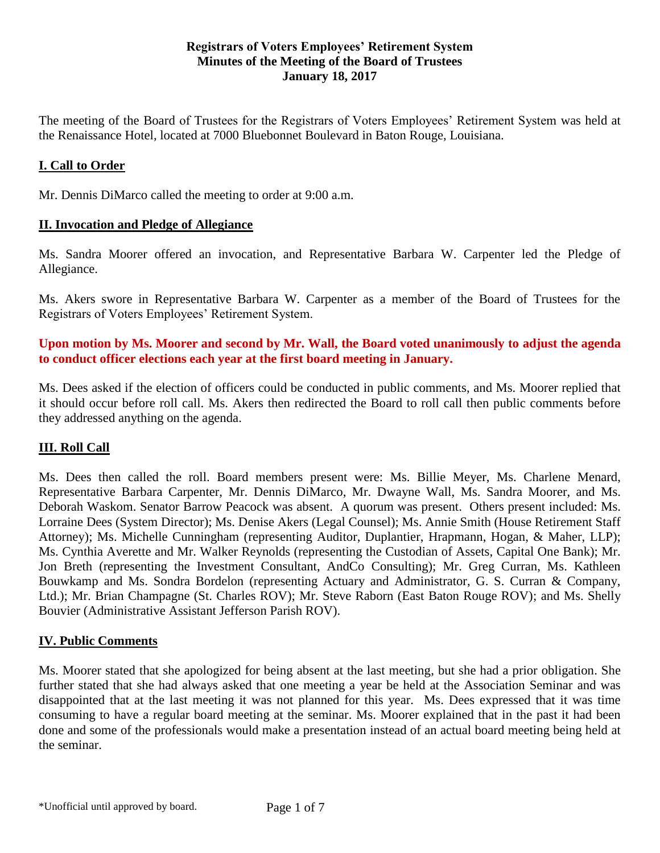#### **Registrars of Voters Employees' Retirement System Minutes of the Meeting of the Board of Trustees January 18, 2017**

The meeting of the Board of Trustees for the Registrars of Voters Employees' Retirement System was held at the Renaissance Hotel, located at 7000 Bluebonnet Boulevard in Baton Rouge, Louisiana.

## **I. Call to Order**

Mr. Dennis DiMarco called the meeting to order at 9:00 a.m.

#### **II. Invocation and Pledge of Allegiance**

Ms. Sandra Moorer offered an invocation, and Representative Barbara W. Carpenter led the Pledge of Allegiance.

Ms. Akers swore in Representative Barbara W. Carpenter as a member of the Board of Trustees for the Registrars of Voters Employees' Retirement System.

**Upon motion by Ms. Moorer and second by Mr. Wall, the Board voted unanimously to adjust the agenda to conduct officer elections each year at the first board meeting in January.**

Ms. Dees asked if the election of officers could be conducted in public comments, and Ms. Moorer replied that it should occur before roll call. Ms. Akers then redirected the Board to roll call then public comments before they addressed anything on the agenda.

### **III. Roll Call**

Ms. Dees then called the roll. Board members present were: Ms. Billie Meyer, Ms. Charlene Menard, Representative Barbara Carpenter, Mr. Dennis DiMarco, Mr. Dwayne Wall, Ms. Sandra Moorer, and Ms. Deborah Waskom. Senator Barrow Peacock was absent. A quorum was present. Others present included: Ms. Lorraine Dees (System Director); Ms. Denise Akers (Legal Counsel); Ms. Annie Smith (House Retirement Staff Attorney); Ms. Michelle Cunningham (representing Auditor, Duplantier, Hrapmann, Hogan, & Maher, LLP); Ms. Cynthia Averette and Mr. Walker Reynolds (representing the Custodian of Assets, Capital One Bank); Mr. Jon Breth (representing the Investment Consultant, AndCo Consulting); Mr. Greg Curran, Ms. Kathleen Bouwkamp and Ms. Sondra Bordelon (representing Actuary and Administrator, G. S. Curran & Company, Ltd.); Mr. Brian Champagne (St. Charles ROV); Mr. Steve Raborn (East Baton Rouge ROV); and Ms. Shelly Bouvier (Administrative Assistant Jefferson Parish ROV).

#### **IV. Public Comments**

Ms. Moorer stated that she apologized for being absent at the last meeting, but she had a prior obligation. She further stated that she had always asked that one meeting a year be held at the Association Seminar and was disappointed that at the last meeting it was not planned for this year. Ms. Dees expressed that it was time consuming to have a regular board meeting at the seminar. Ms. Moorer explained that in the past it had been done and some of the professionals would make a presentation instead of an actual board meeting being held at the seminar.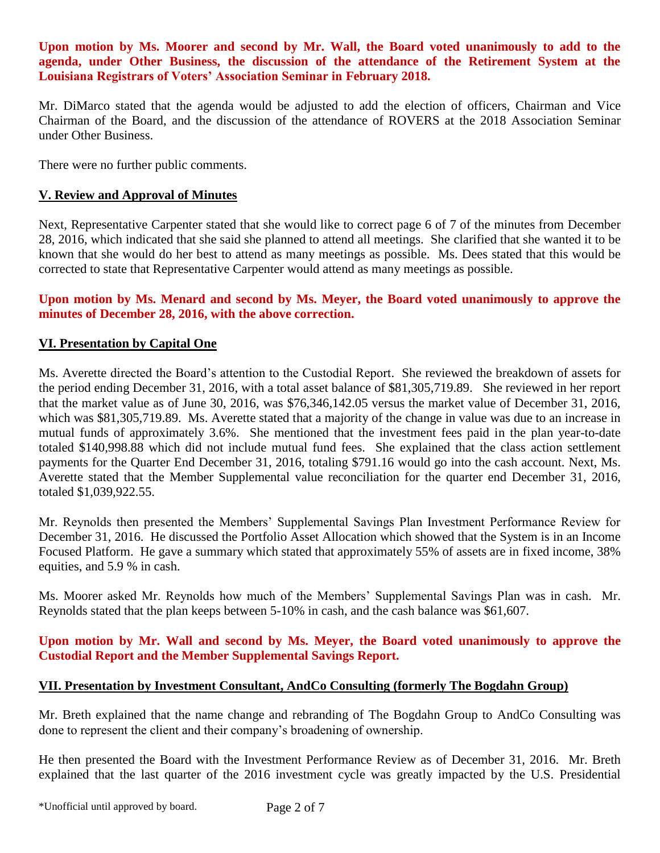**Upon motion by Ms. Moorer and second by Mr. Wall, the Board voted unanimously to add to the agenda, under Other Business, the discussion of the attendance of the Retirement System at the Louisiana Registrars of Voters' Association Seminar in February 2018.** 

Mr. DiMarco stated that the agenda would be adjusted to add the election of officers, Chairman and Vice Chairman of the Board, and the discussion of the attendance of ROVERS at the 2018 Association Seminar under Other Business.

There were no further public comments.

### **V. Review and Approval of Minutes**

Next, Representative Carpenter stated that she would like to correct page 6 of 7 of the minutes from December 28, 2016, which indicated that she said she planned to attend all meetings. She clarified that she wanted it to be known that she would do her best to attend as many meetings as possible. Ms. Dees stated that this would be corrected to state that Representative Carpenter would attend as many meetings as possible.

### **Upon motion by Ms. Menard and second by Ms. Meyer, the Board voted unanimously to approve the minutes of December 28, 2016, with the above correction.**

### **VI. Presentation by Capital One**

Ms. Averette directed the Board's attention to the Custodial Report. She reviewed the breakdown of assets for the period ending December 31, 2016, with a total asset balance of \$81,305,719.89. She reviewed in her report that the market value as of June 30, 2016, was \$76,346,142.05 versus the market value of December 31, 2016, which was \$81,305,719.89. Ms. Averette stated that a majority of the change in value was due to an increase in mutual funds of approximately 3.6%. She mentioned that the investment fees paid in the plan year-to-date totaled \$140,998.88 which did not include mutual fund fees. She explained that the class action settlement payments for the Quarter End December 31, 2016, totaling \$791.16 would go into the cash account. Next, Ms. Averette stated that the Member Supplemental value reconciliation for the quarter end December 31, 2016, totaled \$1,039,922.55.

Mr. Reynolds then presented the Members' Supplemental Savings Plan Investment Performance Review for December 31, 2016. He discussed the Portfolio Asset Allocation which showed that the System is in an Income Focused Platform. He gave a summary which stated that approximately 55% of assets are in fixed income, 38% equities, and 5.9 % in cash.

Ms. Moorer asked Mr. Reynolds how much of the Members' Supplemental Savings Plan was in cash. Mr. Reynolds stated that the plan keeps between 5-10% in cash, and the cash balance was \$61,607.

### **Upon motion by Mr. Wall and second by Ms. Meyer, the Board voted unanimously to approve the Custodial Report and the Member Supplemental Savings Report.**

### **VII. Presentation by Investment Consultant, AndCo Consulting (formerly The Bogdahn Group)**

Mr. Breth explained that the name change and rebranding of The Bogdahn Group to AndCo Consulting was done to represent the client and their company's broadening of ownership.

He then presented the Board with the Investment Performance Review as of December 31, 2016. Mr. Breth explained that the last quarter of the 2016 investment cycle was greatly impacted by the U.S. Presidential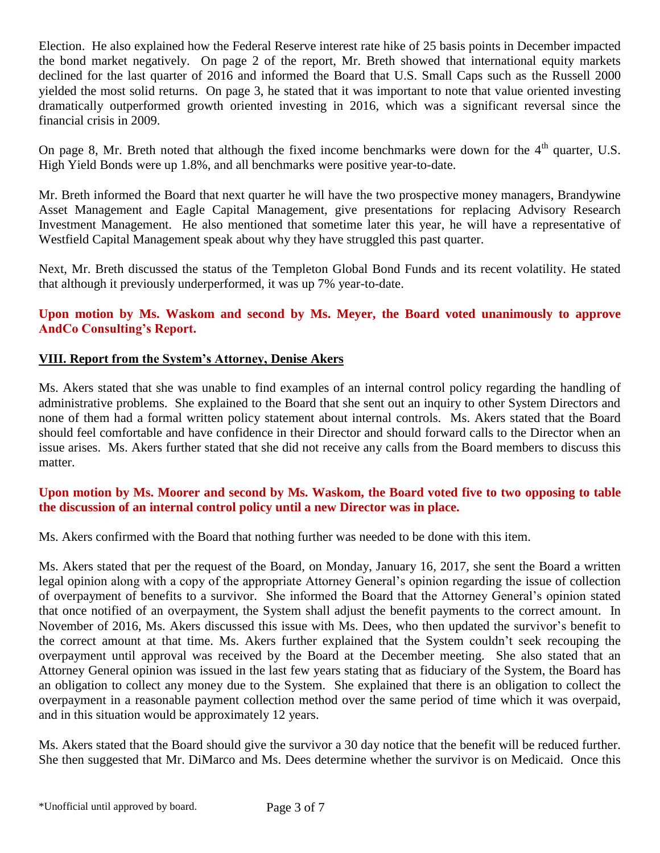Election. He also explained how the Federal Reserve interest rate hike of 25 basis points in December impacted the bond market negatively. On page 2 of the report, Mr. Breth showed that international equity markets declined for the last quarter of 2016 and informed the Board that U.S. Small Caps such as the Russell 2000 yielded the most solid returns. On page 3, he stated that it was important to note that value oriented investing dramatically outperformed growth oriented investing in 2016, which was a significant reversal since the financial crisis in 2009.

On page 8, Mr. Breth noted that although the fixed income benchmarks were down for the  $4<sup>th</sup>$  quarter, U.S. High Yield Bonds were up 1.8%, and all benchmarks were positive year-to-date.

Mr. Breth informed the Board that next quarter he will have the two prospective money managers, Brandywine Asset Management and Eagle Capital Management, give presentations for replacing Advisory Research Investment Management. He also mentioned that sometime later this year, he will have a representative of Westfield Capital Management speak about why they have struggled this past quarter.

Next, Mr. Breth discussed the status of the Templeton Global Bond Funds and its recent volatility. He stated that although it previously underperformed, it was up 7% year-to-date.

# **Upon motion by Ms. Waskom and second by Ms. Meyer, the Board voted unanimously to approve AndCo Consulting's Report.**

# **VIII. Report from the System's Attorney, Denise Akers**

Ms. Akers stated that she was unable to find examples of an internal control policy regarding the handling of administrative problems. She explained to the Board that she sent out an inquiry to other System Directors and none of them had a formal written policy statement about internal controls. Ms. Akers stated that the Board should feel comfortable and have confidence in their Director and should forward calls to the Director when an issue arises. Ms. Akers further stated that she did not receive any calls from the Board members to discuss this matter.

## **Upon motion by Ms. Moorer and second by Ms. Waskom, the Board voted five to two opposing to table the discussion of an internal control policy until a new Director was in place.**

Ms. Akers confirmed with the Board that nothing further was needed to be done with this item.

Ms. Akers stated that per the request of the Board, on Monday, January 16, 2017, she sent the Board a written legal opinion along with a copy of the appropriate Attorney General's opinion regarding the issue of collection of overpayment of benefits to a survivor. She informed the Board that the Attorney General's opinion stated that once notified of an overpayment, the System shall adjust the benefit payments to the correct amount. In November of 2016, Ms. Akers discussed this issue with Ms. Dees, who then updated the survivor's benefit to the correct amount at that time. Ms. Akers further explained that the System couldn't seek recouping the overpayment until approval was received by the Board at the December meeting. She also stated that an Attorney General opinion was issued in the last few years stating that as fiduciary of the System, the Board has an obligation to collect any money due to the System. She explained that there is an obligation to collect the overpayment in a reasonable payment collection method over the same period of time which it was overpaid, and in this situation would be approximately 12 years.

Ms. Akers stated that the Board should give the survivor a 30 day notice that the benefit will be reduced further. She then suggested that Mr. DiMarco and Ms. Dees determine whether the survivor is on Medicaid. Once this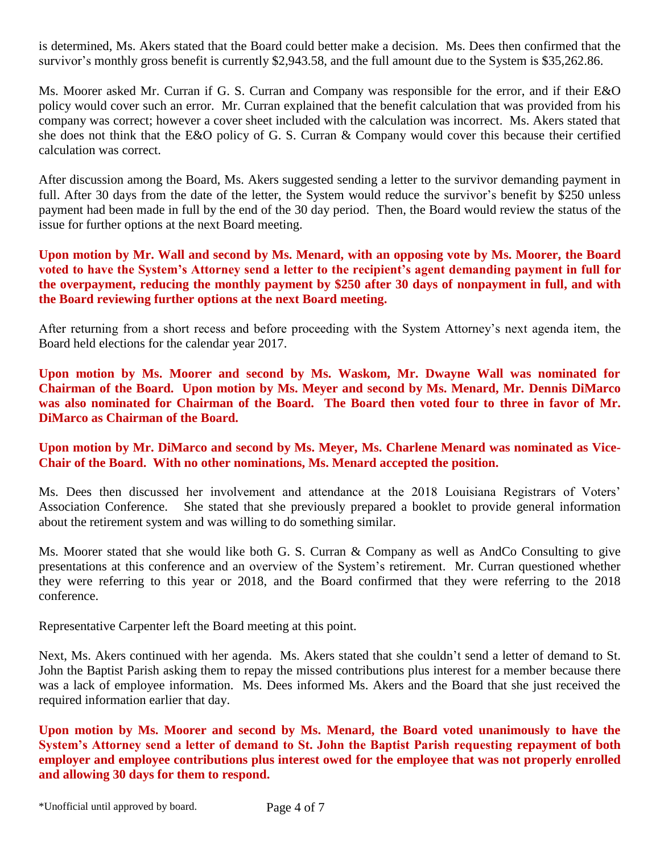is determined, Ms. Akers stated that the Board could better make a decision. Ms. Dees then confirmed that the survivor's monthly gross benefit is currently \$2,943.58, and the full amount due to the System is \$35,262.86.

Ms. Moorer asked Mr. Curran if G. S. Curran and Company was responsible for the error, and if their E&O policy would cover such an error. Mr. Curran explained that the benefit calculation that was provided from his company was correct; however a cover sheet included with the calculation was incorrect. Ms. Akers stated that she does not think that the E&O policy of G. S. Curran & Company would cover this because their certified calculation was correct.

After discussion among the Board, Ms. Akers suggested sending a letter to the survivor demanding payment in full. After 30 days from the date of the letter, the System would reduce the survivor's benefit by \$250 unless payment had been made in full by the end of the 30 day period. Then, the Board would review the status of the issue for further options at the next Board meeting.

**Upon motion by Mr. Wall and second by Ms. Menard, with an opposing vote by Ms. Moorer, the Board voted to have the System's Attorney send a letter to the recipient's agent demanding payment in full for the overpayment, reducing the monthly payment by \$250 after 30 days of nonpayment in full, and with the Board reviewing further options at the next Board meeting.** 

After returning from a short recess and before proceeding with the System Attorney's next agenda item, the Board held elections for the calendar year 2017.

**Upon motion by Ms. Moorer and second by Ms. Waskom, Mr. Dwayne Wall was nominated for Chairman of the Board. Upon motion by Ms. Meyer and second by Ms. Menard, Mr. Dennis DiMarco was also nominated for Chairman of the Board. The Board then voted four to three in favor of Mr. DiMarco as Chairman of the Board.** 

**Upon motion by Mr. DiMarco and second by Ms. Meyer, Ms. Charlene Menard was nominated as Vice-Chair of the Board. With no other nominations, Ms. Menard accepted the position.** 

Ms. Dees then discussed her involvement and attendance at the 2018 Louisiana Registrars of Voters' Association Conference. She stated that she previously prepared a booklet to provide general information about the retirement system and was willing to do something similar.

Ms. Moorer stated that she would like both G. S. Curran & Company as well as AndCo Consulting to give presentations at this conference and an overview of the System's retirement. Mr. Curran questioned whether they were referring to this year or 2018, and the Board confirmed that they were referring to the 2018 conference.

Representative Carpenter left the Board meeting at this point.

Next, Ms. Akers continued with her agenda. Ms. Akers stated that she couldn't send a letter of demand to St. John the Baptist Parish asking them to repay the missed contributions plus interest for a member because there was a lack of employee information. Ms. Dees informed Ms. Akers and the Board that she just received the required information earlier that day.

**Upon motion by Ms. Moorer and second by Ms. Menard, the Board voted unanimously to have the System's Attorney send a letter of demand to St. John the Baptist Parish requesting repayment of both employer and employee contributions plus interest owed for the employee that was not properly enrolled and allowing 30 days for them to respond.**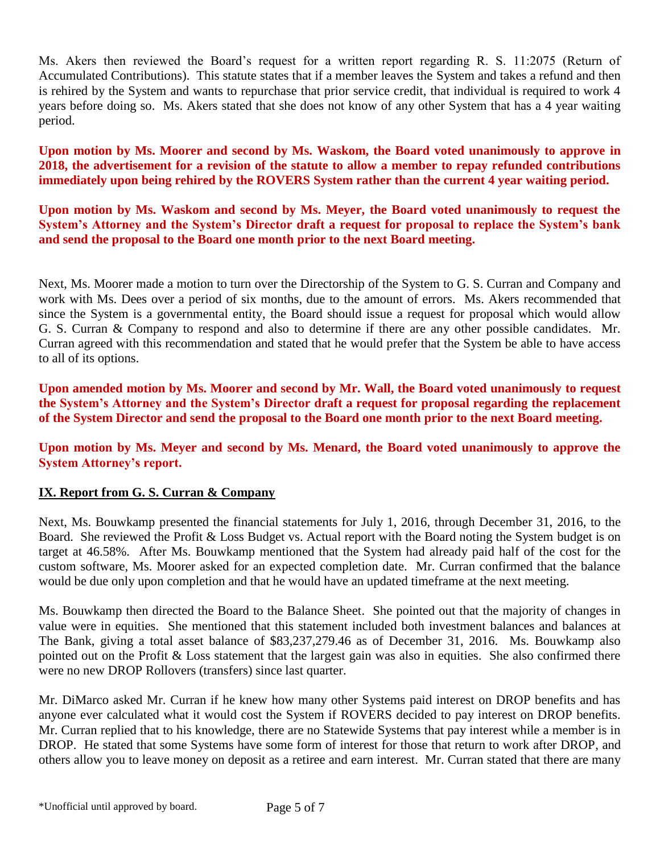Ms. Akers then reviewed the Board's request for a written report regarding R. S. 11:2075 (Return of Accumulated Contributions). This statute states that if a member leaves the System and takes a refund and then is rehired by the System and wants to repurchase that prior service credit, that individual is required to work 4 years before doing so. Ms. Akers stated that she does not know of any other System that has a 4 year waiting period.

**Upon motion by Ms. Moorer and second by Ms. Waskom, the Board voted unanimously to approve in 2018, the advertisement for a revision of the statute to allow a member to repay refunded contributions immediately upon being rehired by the ROVERS System rather than the current 4 year waiting period.** 

**Upon motion by Ms. Waskom and second by Ms. Meyer, the Board voted unanimously to request the System's Attorney and the System's Director draft a request for proposal to replace the System's bank and send the proposal to the Board one month prior to the next Board meeting.**

Next, Ms. Moorer made a motion to turn over the Directorship of the System to G. S. Curran and Company and work with Ms. Dees over a period of six months, due to the amount of errors. Ms. Akers recommended that since the System is a governmental entity, the Board should issue a request for proposal which would allow G. S. Curran & Company to respond and also to determine if there are any other possible candidates. Mr. Curran agreed with this recommendation and stated that he would prefer that the System be able to have access to all of its options.

**Upon amended motion by Ms. Moorer and second by Mr. Wall, the Board voted unanimously to request the System's Attorney and the System's Director draft a request for proposal regarding the replacement of the System Director and send the proposal to the Board one month prior to the next Board meeting.** 

**Upon motion by Ms. Meyer and second by Ms. Menard, the Board voted unanimously to approve the System Attorney's report.**

### **IX. Report from G. S. Curran & Company**

Next, Ms. Bouwkamp presented the financial statements for July 1, 2016, through December 31, 2016, to the Board. She reviewed the Profit & Loss Budget vs. Actual report with the Board noting the System budget is on target at 46.58%. After Ms. Bouwkamp mentioned that the System had already paid half of the cost for the custom software, Ms. Moorer asked for an expected completion date. Mr. Curran confirmed that the balance would be due only upon completion and that he would have an updated timeframe at the next meeting.

Ms. Bouwkamp then directed the Board to the Balance Sheet. She pointed out that the majority of changes in value were in equities. She mentioned that this statement included both investment balances and balances at The Bank, giving a total asset balance of \$83,237,279.46 as of December 31, 2016. Ms. Bouwkamp also pointed out on the Profit & Loss statement that the largest gain was also in equities. She also confirmed there were no new DROP Rollovers (transfers) since last quarter.

Mr. DiMarco asked Mr. Curran if he knew how many other Systems paid interest on DROP benefits and has anyone ever calculated what it would cost the System if ROVERS decided to pay interest on DROP benefits. Mr. Curran replied that to his knowledge, there are no Statewide Systems that pay interest while a member is in DROP. He stated that some Systems have some form of interest for those that return to work after DROP, and others allow you to leave money on deposit as a retiree and earn interest. Mr. Curran stated that there are many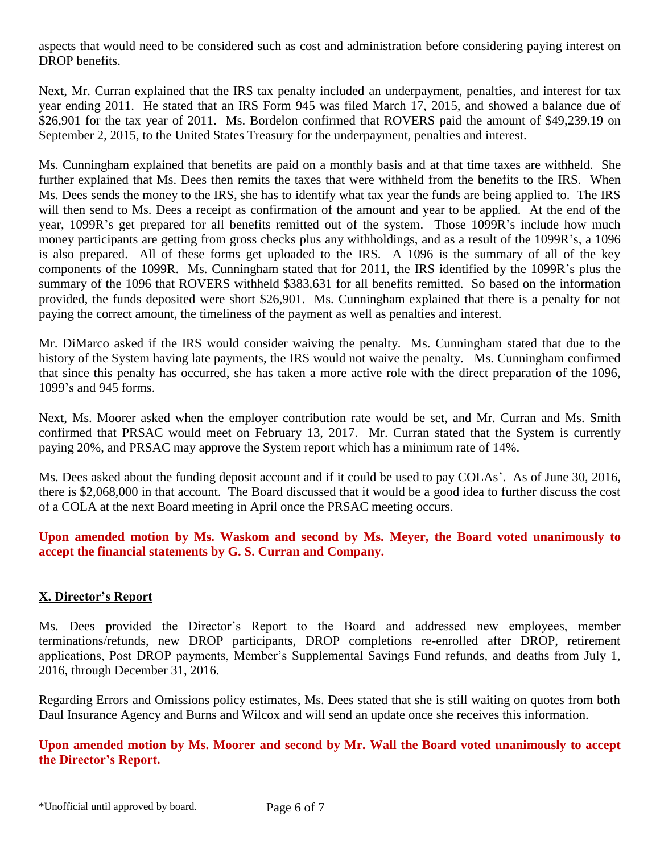aspects that would need to be considered such as cost and administration before considering paying interest on DROP benefits.

Next, Mr. Curran explained that the IRS tax penalty included an underpayment, penalties, and interest for tax year ending 2011. He stated that an IRS Form 945 was filed March 17, 2015, and showed a balance due of \$26,901 for the tax year of 2011. Ms. Bordelon confirmed that ROVERS paid the amount of \$49,239.19 on September 2, 2015, to the United States Treasury for the underpayment, penalties and interest.

Ms. Cunningham explained that benefits are paid on a monthly basis and at that time taxes are withheld. She further explained that Ms. Dees then remits the taxes that were withheld from the benefits to the IRS. When Ms. Dees sends the money to the IRS, she has to identify what tax year the funds are being applied to. The IRS will then send to Ms. Dees a receipt as confirmation of the amount and year to be applied. At the end of the year, 1099R's get prepared for all benefits remitted out of the system. Those 1099R's include how much money participants are getting from gross checks plus any withholdings, and as a result of the 1099R's, a 1096 is also prepared. All of these forms get uploaded to the IRS. A 1096 is the summary of all of the key components of the 1099R. Ms. Cunningham stated that for 2011, the IRS identified by the 1099R's plus the summary of the 1096 that ROVERS withheld \$383,631 for all benefits remitted. So based on the information provided, the funds deposited were short \$26,901. Ms. Cunningham explained that there is a penalty for not paying the correct amount, the timeliness of the payment as well as penalties and interest.

Mr. DiMarco asked if the IRS would consider waiving the penalty. Ms. Cunningham stated that due to the history of the System having late payments, the IRS would not waive the penalty. Ms. Cunningham confirmed that since this penalty has occurred, she has taken a more active role with the direct preparation of the 1096, 1099's and 945 forms.

Next, Ms. Moorer asked when the employer contribution rate would be set, and Mr. Curran and Ms. Smith confirmed that PRSAC would meet on February 13, 2017. Mr. Curran stated that the System is currently paying 20%, and PRSAC may approve the System report which has a minimum rate of 14%.

Ms. Dees asked about the funding deposit account and if it could be used to pay COLAs'. As of June 30, 2016, there is \$2,068,000 in that account. The Board discussed that it would be a good idea to further discuss the cost of a COLA at the next Board meeting in April once the PRSAC meeting occurs.

**Upon amended motion by Ms. Waskom and second by Ms. Meyer, the Board voted unanimously to accept the financial statements by G. S. Curran and Company.** 

### **X. Director's Report**

Ms. Dees provided the Director's Report to the Board and addressed new employees, member terminations/refunds, new DROP participants, DROP completions re-enrolled after DROP, retirement applications, Post DROP payments, Member's Supplemental Savings Fund refunds, and deaths from July 1, 2016, through December 31, 2016.

Regarding Errors and Omissions policy estimates, Ms. Dees stated that she is still waiting on quotes from both Daul Insurance Agency and Burns and Wilcox and will send an update once she receives this information.

**Upon amended motion by Ms. Moorer and second by Mr. Wall the Board voted unanimously to accept the Director's Report.**